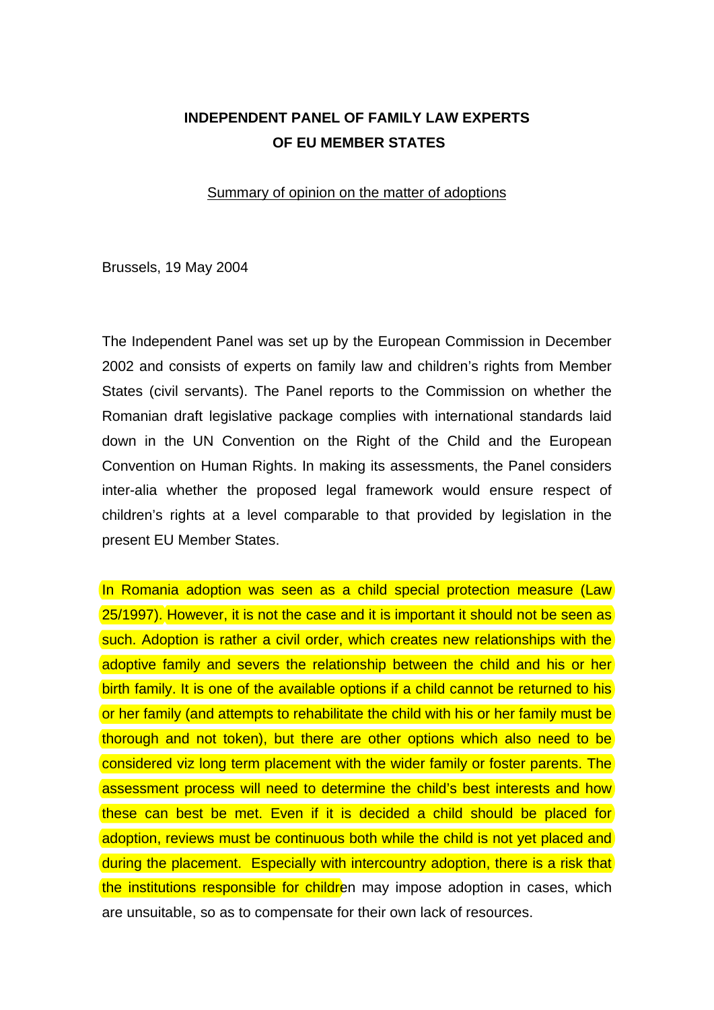# **INDEPENDENT PANEL OF FAMILY LAW EXPERTS OF EU MEMBER STATES**

Summary of opinion on the matter of adoptions

Brussels, 19 May 2004

The Independent Panel was set up by the European Commission in December 2002 and consists of experts on family law and children's rights from Member States (civil servants). The Panel reports to the Commission on whether the Romanian draft legislative package complies with international standards laid down in the UN Convention on the Right of the Child and the European Convention on Human Rights. In making its assessments, the Panel considers inter-alia whether the proposed legal framework would ensure respect of children's rights at a level comparable to that provided by legislation in the present EU Member States.

In Romania adoption was seen as a child special protection measure (Law 25/1997). However, it is not the case and it is important it should not be seen as such. Adoption is rather a civil order, which creates new relationships with the adoptive family and severs the relationship between the child and his or her birth family. It is one of the available options if a child cannot be returned to his or her family (and attempts to rehabilitate the child with his or her family must be thorough and not token), but there are other options which also need to be considered viz long term placement with the wider family or foster parents. The assessment process will need to determine the child's best interests and how these can best be met. Even if it is decided a child should be placed for adoption, reviews must be continuous both while the child is not yet placed and during the placement. Especially with intercountry adoption, there is a risk that the institutions responsible for children may impose adoption in cases, which are unsuitable, so as to compensate for their own lack of resources.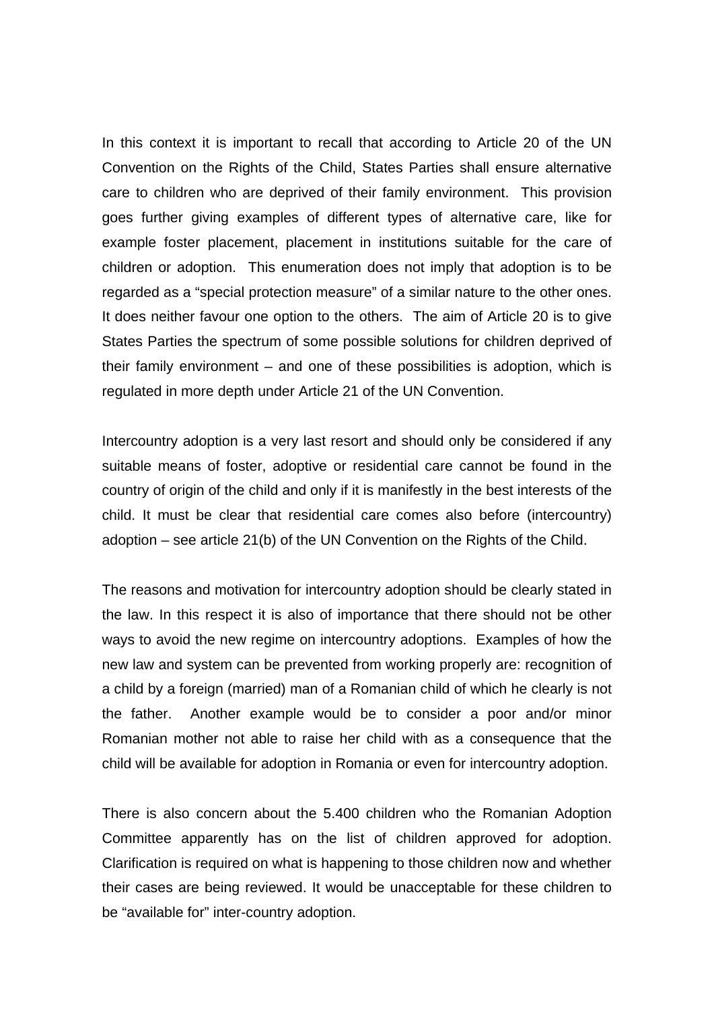In this context it is important to recall that according to Article 20 of the UN Convention on the Rights of the Child, States Parties shall ensure alternative care to children who are deprived of their family environment. This provision goes further giving examples of different types of alternative care, like for example foster placement, placement in institutions suitable for the care of children or adoption. This enumeration does not imply that adoption is to be regarded as a "special protection measure" of a similar nature to the other ones. It does neither favour one option to the others. The aim of Article 20 is to give States Parties the spectrum of some possible solutions for children deprived of their family environment – and one of these possibilities is adoption, which is regulated in more depth under Article 21 of the UN Convention.

Intercountry adoption is a very last resort and should only be considered if any suitable means of foster, adoptive or residential care cannot be found in the country of origin of the child and only if it is manifestly in the best interests of the child. It must be clear that residential care comes also before (intercountry) adoption – see article 21(b) of the UN Convention on the Rights of the Child.

The reasons and motivation for intercountry adoption should be clearly stated in the law. In this respect it is also of importance that there should not be other ways to avoid the new regime on intercountry adoptions. Examples of how the new law and system can be prevented from working properly are: recognition of a child by a foreign (married) man of a Romanian child of which he clearly is not the father. Another example would be to consider a poor and/or minor Romanian mother not able to raise her child with as a consequence that the child will be available for adoption in Romania or even for intercountry adoption.

There is also concern about the 5.400 children who the Romanian Adoption Committee apparently has on the list of children approved for adoption. Clarification is required on what is happening to those children now and whether their cases are being reviewed. It would be unacceptable for these children to be "available for" inter-country adoption.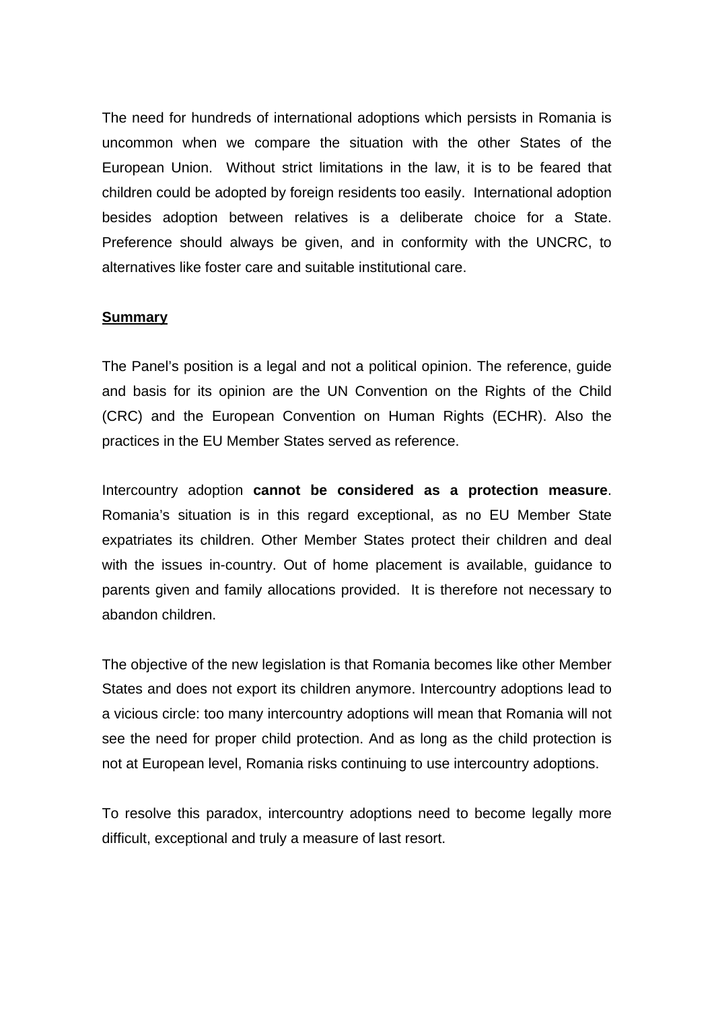The need for hundreds of international adoptions which persists in Romania is uncommon when we compare the situation with the other States of the European Union. Without strict limitations in the law, it is to be feared that children could be adopted by foreign residents too easily. International adoption besides adoption between relatives is a deliberate choice for a State. Preference should always be given, and in conformity with the UNCRC, to alternatives like foster care and suitable institutional care.

## **Summary**

The Panel's position is a legal and not a political opinion. The reference, guide and basis for its opinion are the UN Convention on the Rights of the Child (CRC) and the European Convention on Human Rights (ECHR). Also the practices in the EU Member States served as reference.

Intercountry adoption **cannot be considered as a protection measure**. Romania's situation is in this regard exceptional, as no EU Member State expatriates its children. Other Member States protect their children and deal with the issues in-country. Out of home placement is available, guidance to parents given and family allocations provided. It is therefore not necessary to abandon children.

The objective of the new legislation is that Romania becomes like other Member States and does not export its children anymore. Intercountry adoptions lead to a vicious circle: too many intercountry adoptions will mean that Romania will not see the need for proper child protection. And as long as the child protection is not at European level, Romania risks continuing to use intercountry adoptions.

To resolve this paradox, intercountry adoptions need to become legally more difficult, exceptional and truly a measure of last resort.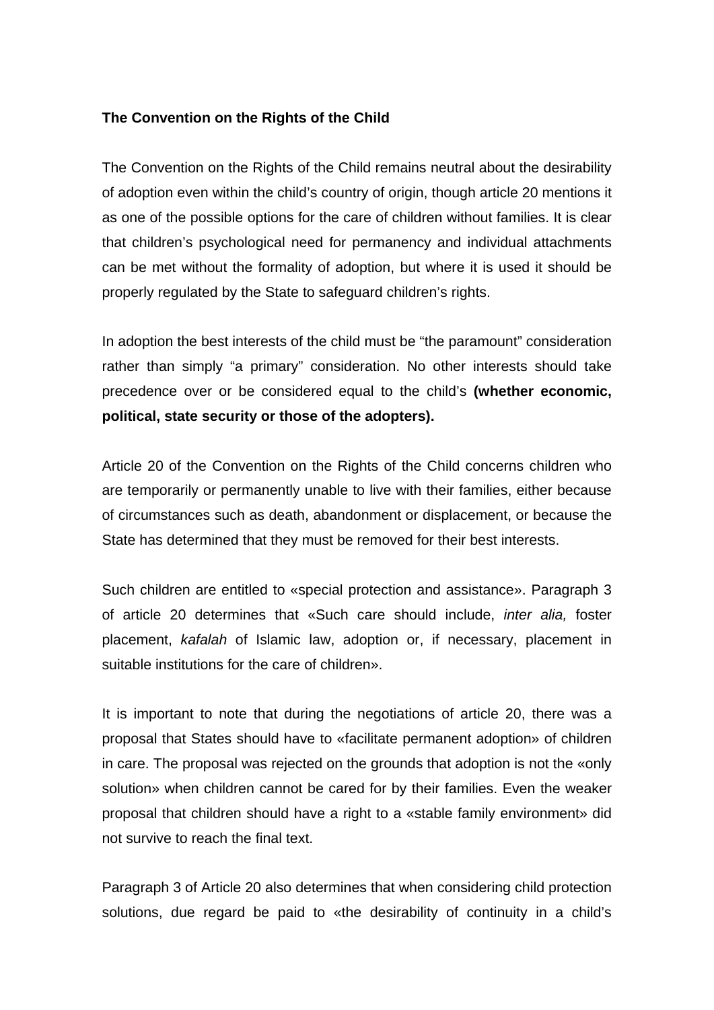## **The Convention on the Rights of the Child**

The Convention on the Rights of the Child remains neutral about the desirability of adoption even within the child's country of origin, though article 20 mentions it as one of the possible options for the care of children without families. It is clear that children's psychological need for permanency and individual attachments can be met without the formality of adoption, but where it is used it should be properly regulated by the State to safeguard children's rights.

In adoption the best interests of the child must be "the paramount" consideration rather than simply "a primary" consideration. No other interests should take precedence over or be considered equal to the child's **(whether economic, political, state security or those of the adopters).** 

Article 20 of the Convention on the Rights of the Child concerns children who are temporarily or permanently unable to live with their families, either because of circumstances such as death, abandonment or displacement, or because the State has determined that they must be removed for their best interests.

Such children are entitled to «special protection and assistance». Paragraph 3 of article 20 determines that «Such care should include, *inter alia,* foster placement, *kafalah* of Islamic law, adoption or, if necessary, placement in suitable institutions for the care of children».

It is important to note that during the negotiations of article 20, there was a proposal that States should have to «facilitate permanent adoption» of children in care. The proposal was rejected on the grounds that adoption is not the «only solution» when children cannot be cared for by their families. Even the weaker proposal that children should have a right to a «stable family environment» did not survive to reach the final text.

Paragraph 3 of Article 20 also determines that when considering child protection solutions, due regard be paid to «the desirability of continuity in a child's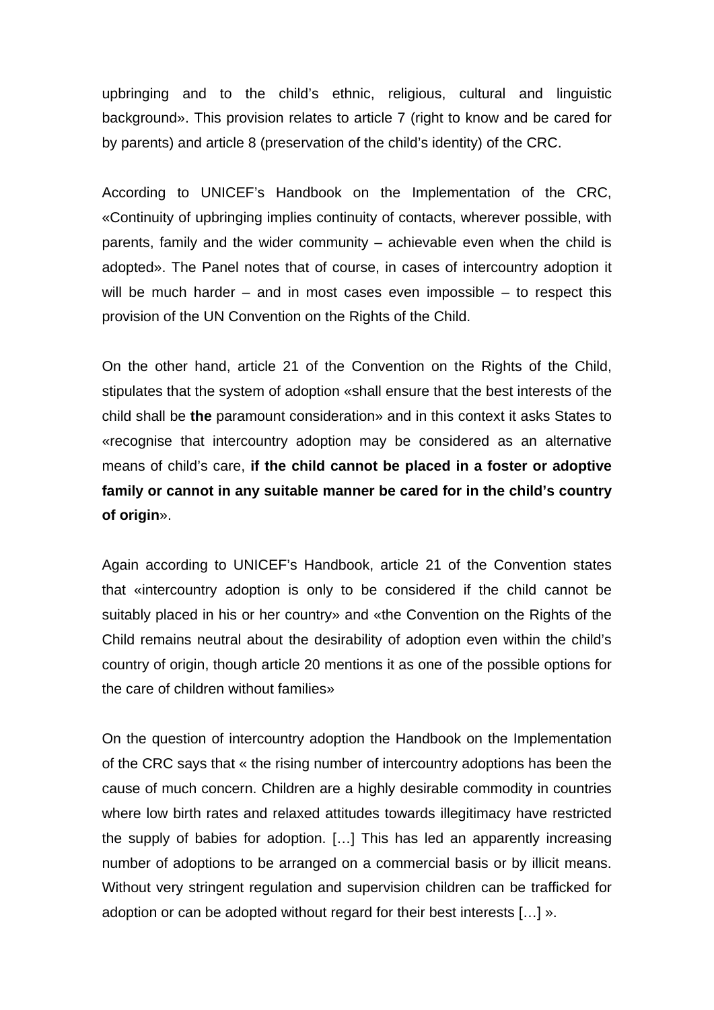upbringing and to the child's ethnic, religious, cultural and linguistic background». This provision relates to article 7 (right to know and be cared for by parents) and article 8 (preservation of the child's identity) of the CRC.

According to UNICEF's Handbook on the Implementation of the CRC, «Continuity of upbringing implies continuity of contacts, wherever possible, with parents, family and the wider community – achievable even when the child is adopted». The Panel notes that of course, in cases of intercountry adoption it will be much harder  $-$  and in most cases even impossible  $-$  to respect this provision of the UN Convention on the Rights of the Child.

On the other hand, article 21 of the Convention on the Rights of the Child, stipulates that the system of adoption «shall ensure that the best interests of the child shall be **the** paramount consideration» and in this context it asks States to «recognise that intercountry adoption may be considered as an alternative means of child's care, **if the child cannot be placed in a foster or adoptive family or cannot in any suitable manner be cared for in the child's country of origin**».

Again according to UNICEF's Handbook, article 21 of the Convention states that «intercountry adoption is only to be considered if the child cannot be suitably placed in his or her country» and «the Convention on the Rights of the Child remains neutral about the desirability of adoption even within the child's country of origin, though article 20 mentions it as one of the possible options for the care of children without families»

On the question of intercountry adoption the Handbook on the Implementation of the CRC says that « the rising number of intercountry adoptions has been the cause of much concern. Children are a highly desirable commodity in countries where low birth rates and relaxed attitudes towards illegitimacy have restricted the supply of babies for adoption. […] This has led an apparently increasing number of adoptions to be arranged on a commercial basis or by illicit means. Without very stringent regulation and supervision children can be trafficked for adoption or can be adopted without regard for their best interests […] ».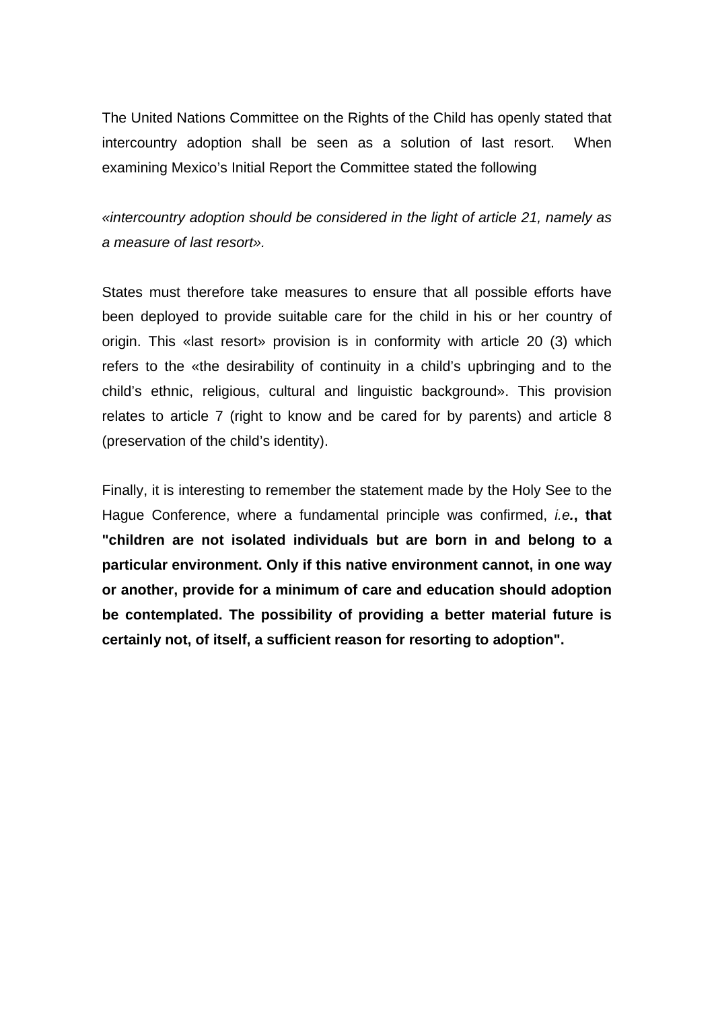The United Nations Committee on the Rights of the Child has openly stated that intercountry adoption shall be seen as a solution of last resort. When examining Mexico's Initial Report the Committee stated the following

*«intercountry adoption should be considered in the light of article 21, namely as a measure of last resort».* 

States must therefore take measures to ensure that all possible efforts have been deployed to provide suitable care for the child in his or her country of origin. This «last resort» provision is in conformity with article 20 (3) which refers to the «the desirability of continuity in a child's upbringing and to the child's ethnic, religious, cultural and linguistic background». This provision relates to article 7 (right to know and be cared for by parents) and article 8 (preservation of the child's identity).

Finally, it is interesting to remember the statement made by the Holy See to the Hague Conference, where a fundamental principle was confirmed, *i.e.***, that "children are not isolated individuals but are born in and belong to a particular environment. Only if this native environment cannot, in one way or another, provide for a minimum of care and education should adoption be contemplated. The possibility of providing a better material future is certainly not, of itself, a sufficient reason for resorting to adoption".**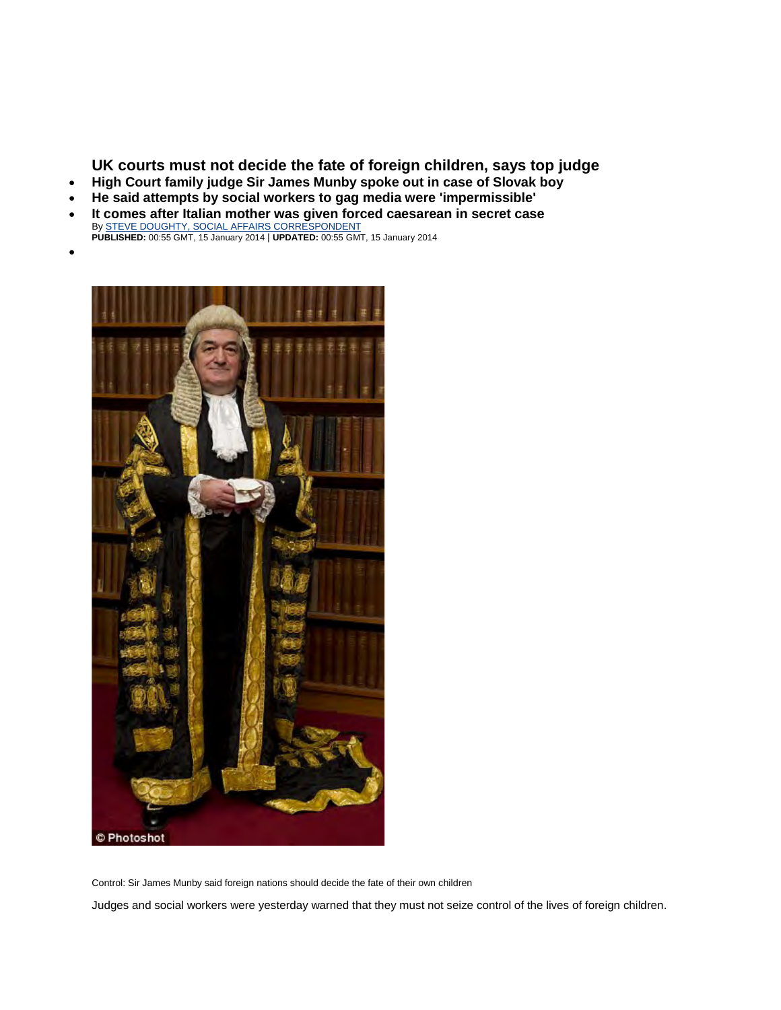**UK courts must not decide the fate of foreign children, says top judge**

- **High Court family judge Sir James Munby spoke out in case of Slovak boy**
- **He said attempts by social workers to gag media were 'impermissible'**
- **It comes after Italian mother was given forced caesarean in secret case** By [STEVE DOUGHTY, SOCIAL AFFAIRS CORRESPONDENT](http://www.dailymail.co.uk/home/search.html?s=&authornamef=Steve+Doughty,+Social+Affairs+Correspondent) **PUBLISHED:** 00:55 GMT, 15 January 2014 | **UPDATED:** 00:55 GMT, 15 January 2014
- •



Control: Sir James Munby said foreign nations should decide the fate of their own children

Judges and social workers were yesterday warned that they must not seize control of the lives of foreign children.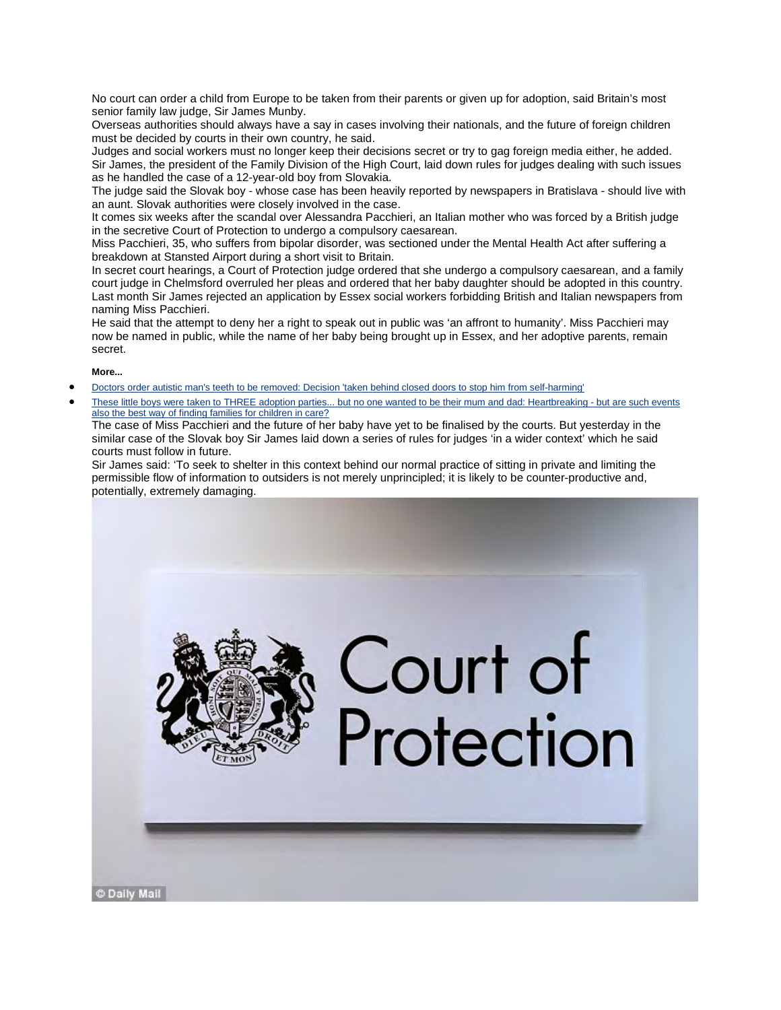No court can order a child from Europe to be taken from their parents or given up for adoption, said Britain's most senior family law judge, Sir James Munby.

Overseas authorities should always have a say in cases involving their nationals, and the future of foreign children must be decided by courts in their own country, he said.

Judges and social workers must no longer keep their decisions secret or try to gag foreign media either, he added. Sir James, the president of the Family Division of the High Court, laid down rules for judges dealing with such issues as he handled the case of a 12-year-old boy from Slovakia.

The judge said the Slovak boy - whose case has been heavily reported by newspapers in Bratislava - should live with an aunt. Slovak authorities were closely involved in the case.

It comes six weeks after the scandal over Alessandra Pacchieri, an Italian mother who was forced by a British judge in the secretive Court of Protection to undergo a compulsory caesarean.

Miss Pacchieri, 35, who suffers from bipolar disorder, was sectioned under the Mental Health Act after suffering a breakdown at Stansted Airport during a short visit to Britain.

In secret court hearings, a Court of Protection judge ordered that she undergo a compulsory caesarean, and a family court judge in Chelmsford overruled her pleas and ordered that her baby daughter should be adopted in this country. Last month Sir James rejected an application by Essex social workers forbidding British and Italian newspapers from naming Miss Pacchieri.

He said that the attempt to deny her a right to speak out in public was 'an affront to humanity'. Miss Pacchieri may now be named in public, while the name of her baby being brought up in Essex, and her adoptive parents, remain secret.

**More...**

- [Doctors order autistic man's teeth to be removed: Decision 'taken behind closed doors to stop him from self-harming'](http://www.dailymail.co.uk/news/article-2534300/Doctors-order-autistic-mans-teeth-removed-Decision-taken-closed-doors-stop-self-harming.html)
- [These little boys were taken to THREE adoption parties... but no one wanted to be their mum and dad: Heartbreaking but are such events](http://www.dailymail.co.uk/femail/article-2538255/These-little-boys-taken-THREE-adoption-parties-no-one-wanted-mum-dad-Heartbreaking-events-best-way-finding-families-children-care.html)  [also the best way of finding families for children in care?](http://www.dailymail.co.uk/femail/article-2538255/These-little-boys-taken-THREE-adoption-parties-no-one-wanted-mum-dad-Heartbreaking-events-best-way-finding-families-children-care.html)

The case of Miss Pacchieri and the future of her baby have yet to be finalised by the courts. But yesterday in the similar case of the Slovak boy Sir James laid down a series of rules for judges 'in a wider context' which he said courts must follow in future.

Sir James said: 'To seek to shelter in this context behind our normal practice of sitting in private and limiting the permissible flow of information to outsiders is not merely unprincipled; it is likely to be counter-productive and, potentially, extremely damaging.



Court of<br>Protection

C Daily Mail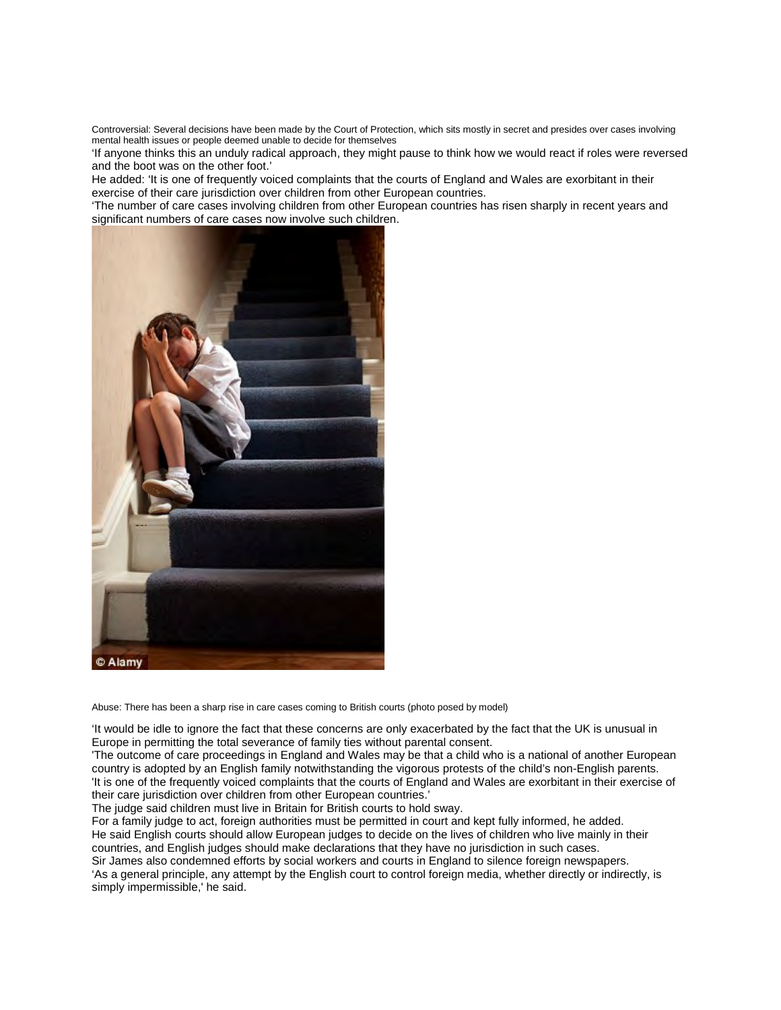Controversial: Several decisions have been made by the Court of Protection, which sits mostly in secret and presides over cases involving mental health issues or people deemed unable to decide for themselves

'If anyone thinks this an unduly radical approach, they might pause to think how we would react if roles were reversed and the boot was on the other foot.'

He added: 'It is one of frequently voiced complaints that the courts of England and Wales are exorbitant in their exercise of their care jurisdiction over children from other European countries.

'The number of care cases involving children from other European countries has risen sharply in recent years and significant numbers of care cases now involve such children.



Abuse: There has been a sharp rise in care cases coming to British courts (photo posed by model)

'It would be idle to ignore the fact that these concerns are only exacerbated by the fact that the UK is unusual in Europe in permitting the total severance of family ties without parental consent.

'The outcome of care proceedings in England and Wales may be that a child who is a national of another European country is adopted by an English family notwithstanding the vigorous protests of the child's non-English parents. 'It is one of the frequently voiced complaints that the courts of England and Wales are exorbitant in their exercise of their care jurisdiction over children from other European countries.'

The judge said children must live in Britain for British courts to hold sway.

For a family judge to act, foreign authorities must be permitted in court and kept fully informed, he added. He said English courts should allow European judges to decide on the lives of children who live mainly in their countries, and English judges should make declarations that they have no jurisdiction in such cases. Sir James also condemned efforts by social workers and courts in England to silence foreign newspapers. 'As a general principle, any attempt by the English court to control foreign media, whether directly or indirectly, is simply impermissible,' he said.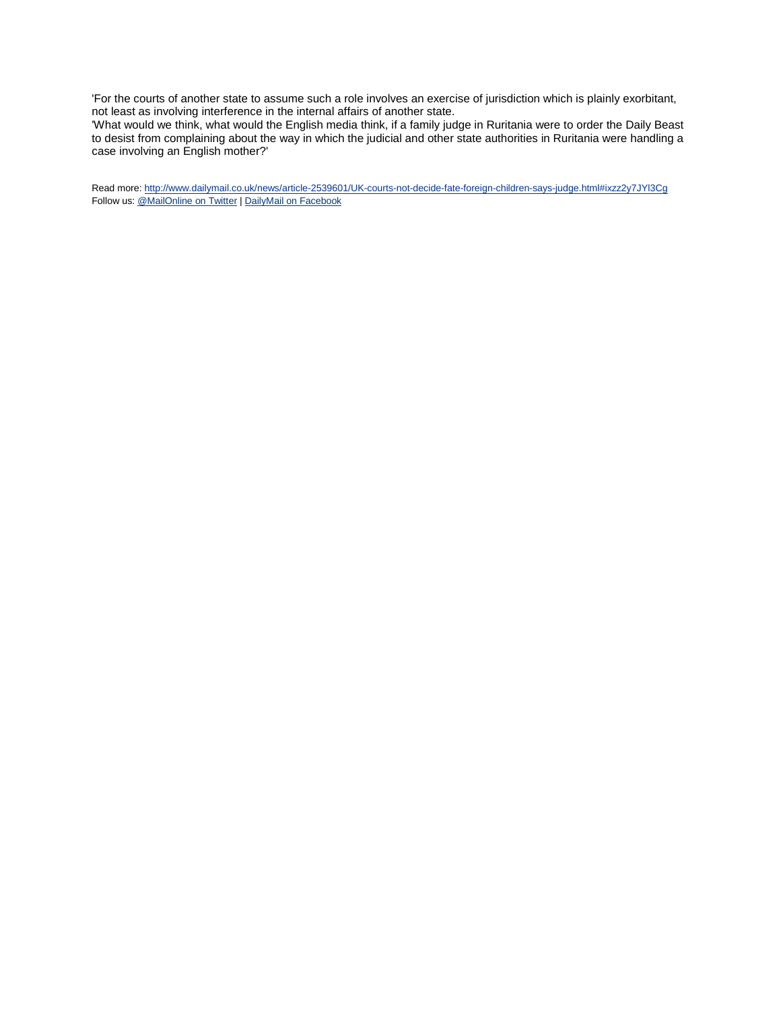'For the courts of another state to assume such a role involves an exercise of jurisdiction which is plainly exorbitant, not least as involving interference in the internal affairs of another state.

'What would we think, what would the English media think, if a family judge in Ruritania were to order the Daily Beast to desist from complaining about the way in which the judicial and other state authorities in Ruritania were handling a case involving an English mother?'

Read more: <http://www.dailymail.co.uk/news/article-2539601/UK-courts-not-decide-fate-foreign-children-says-judge.html#ixzz2y7JYl3Cg> Follow us: [@MailOnline on Twitter](http://ec.tynt.com/b/rw?id=bBOTTqvd0r3Pooab7jrHcU&u=MailOnline) [| DailyMail on Facebook](http://ec.tynt.com/b/rf?id=bBOTTqvd0r3Pooab7jrHcU&u=DailyMail)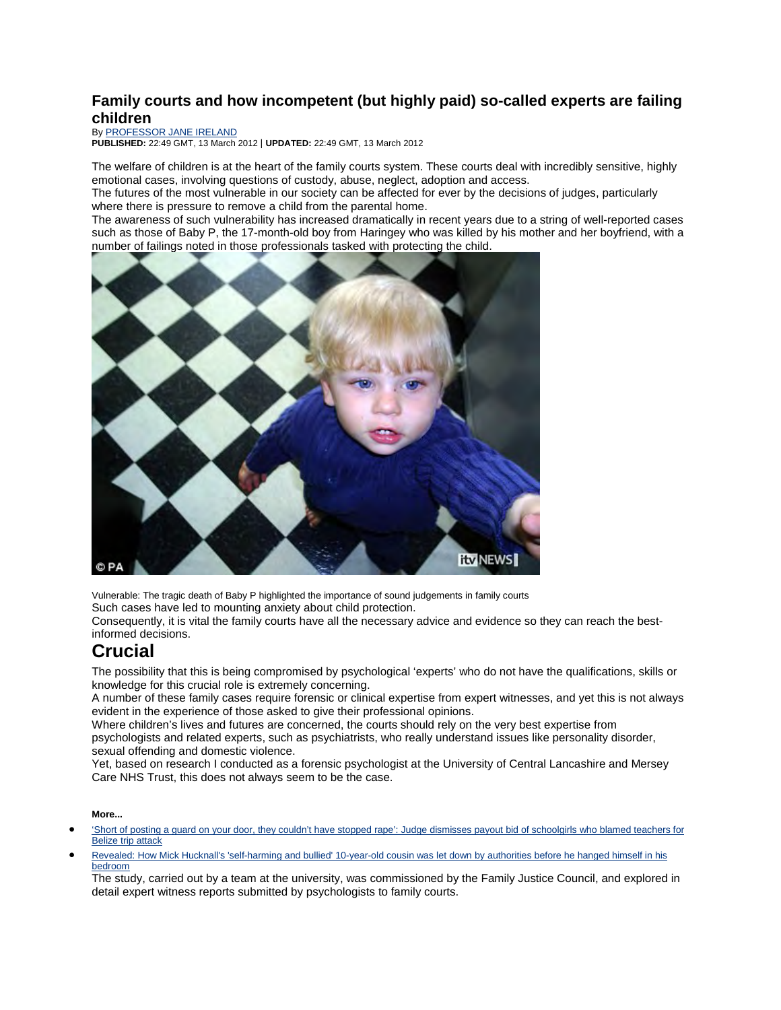## **Family courts and how incompetent (but highly paid) so-called experts are failing children**

By [PROFESSOR JANE IRELAND](http://www.dailymail.co.uk/home/search.html?s=&authornamef=Professor+Jane+Ireland) **PUBLISHED:** 22:49 GMT, 13 March 2012 | **UPDATED:** 22:49 GMT, 13 March 2012

The welfare of children is at the heart of the family courts system. These courts deal with incredibly sensitive, highly emotional cases, involving questions of custody, abuse, neglect, adoption and access.

The futures of the most vulnerable in our society can be affected for ever by the decisions of judges, particularly where there is pressure to remove a child from the parental home.

The awareness of such vulnerability has increased dramatically in recent years due to a string of well-reported cases such as those of Baby P, the 17-month-old boy from Haringey who was killed by his mother and her boyfriend, with a number of failings noted in those professionals tasked with protecting the child.



Vulnerable: The tragic death of Baby P highlighted the importance of sound judgements in family courts

Such cases have led to mounting anxiety about child protection.

Consequently, it is vital the family courts have all the necessary advice and evidence so they can reach the bestinformed decisions.

## **Crucial**

The possibility that this is being compromised by psychological 'experts' who do not have the qualifications, skills or knowledge for this crucial role is extremely concerning.

A number of these family cases require forensic or clinical expertise from expert witnesses, and yet this is not always evident in the experience of those asked to give their professional opinions.

Where children's lives and futures are concerned, the courts should rely on the very best expertise from psychologists and related experts, such as psychiatrists, who really understand issues like personality disorder, sexual offending and domestic violence.

Yet, based on research I conducted as a forensic psychologist at the University of Central Lancashire and Mersey Care NHS Trust, this does not always seem to be the case.

#### **More...**

- ['Short of posting a guard on your door, they couldn't have stopped rape': Judge dismisses payout bid of schoolgirls who blamed teachers for](http://www.dailymail.co.uk/news/article-2114433/Judge-dismisses-payout-bid-schoolgirls-blamed-teachers-Belize-trip-rape.html)  [Belize trip attack](http://www.dailymail.co.uk/news/article-2114433/Judge-dismisses-payout-bid-schoolgirls-blamed-teachers-Belize-trip-rape.html)
- [Revealed: How Mick Hucknall's 'self-harming and bullied' 10-year-old cousin was let down by authorities before he hanged himself in his](http://www.dailymail.co.uk/news/article-2114310/Mick-Hucknalls-cousin-Harry-10-let-authorities-hanged-himself.html)  [bedroom](http://www.dailymail.co.uk/news/article-2114310/Mick-Hucknalls-cousin-Harry-10-let-authorities-hanged-himself.html)

The study, carried out by a team at the university, was commissioned by the Family Justice Council, and explored in detail expert witness reports submitted by psychologists to family courts.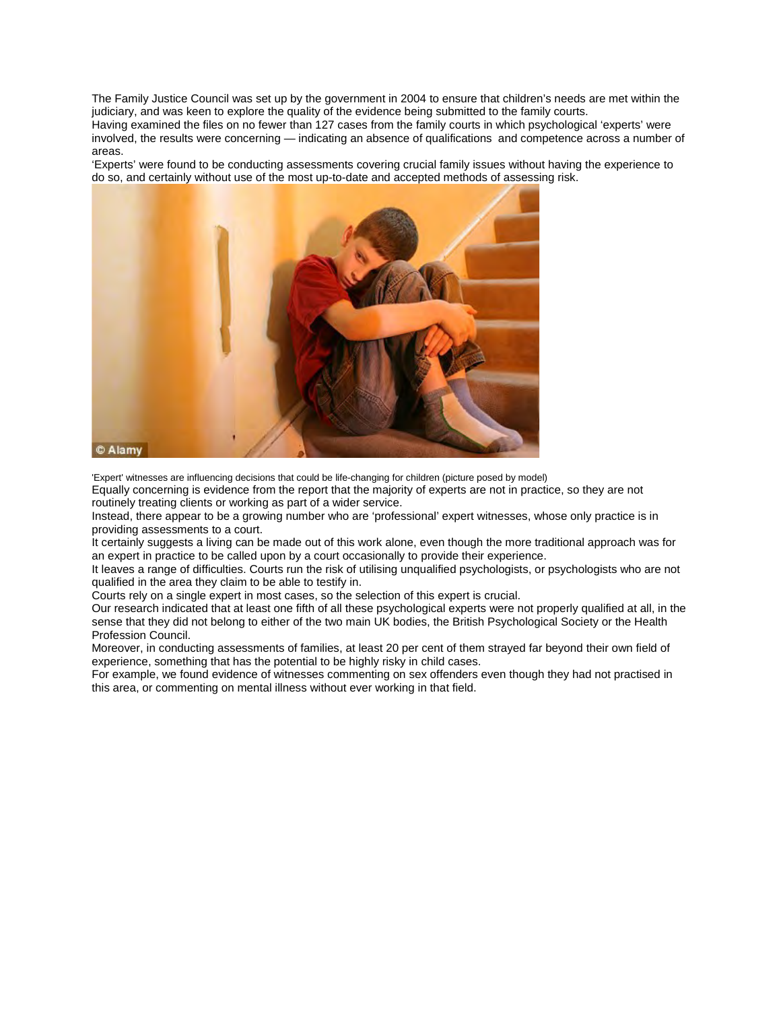The Family Justice Council was set up by the government in 2004 to ensure that children's needs are met within the judiciary, and was keen to explore the quality of the evidence being submitted to the family courts.

Having examined the files on no fewer than 127 cases from the family courts in which psychological 'experts' were involved, the results were concerning — indicating an absence of qualifications and competence across a number of areas.

'Experts' were found to be conducting assessments covering crucial family issues without having the experience to do so, and certainly without use of the most up-to-date and accepted methods of assessing risk.



'Expert' witnesses are influencing decisions that could be life-changing for children (picture posed by model)

Equally concerning is evidence from the report that the majority of experts are not in practice, so they are not routinely treating clients or working as part of a wider service.

Instead, there appear to be a growing number who are 'professional' expert witnesses, whose only practice is in providing assessments to a court.

It certainly suggests a living can be made out of this work alone, even though the more traditional approach was for an expert in practice to be called upon by a court occasionally to provide their experience.

It leaves a range of difficulties. Courts run the risk of utilising unqualified psychologists, or psychologists who are not qualified in the area they claim to be able to testify in.

Courts rely on a single expert in most cases, so the selection of this expert is crucial.

Our research indicated that at least one fifth of all these psychological experts were not properly qualified at all, in the sense that they did not belong to either of the two main UK bodies, the British Psychological Society or the Health Profession Council.

Moreover, in conducting assessments of families, at least 20 per cent of them strayed far beyond their own field of experience, something that has the potential to be highly risky in child cases.

For example, we found evidence of witnesses commenting on sex offenders even though they had not practised in this area, or commenting on mental illness without ever working in that field.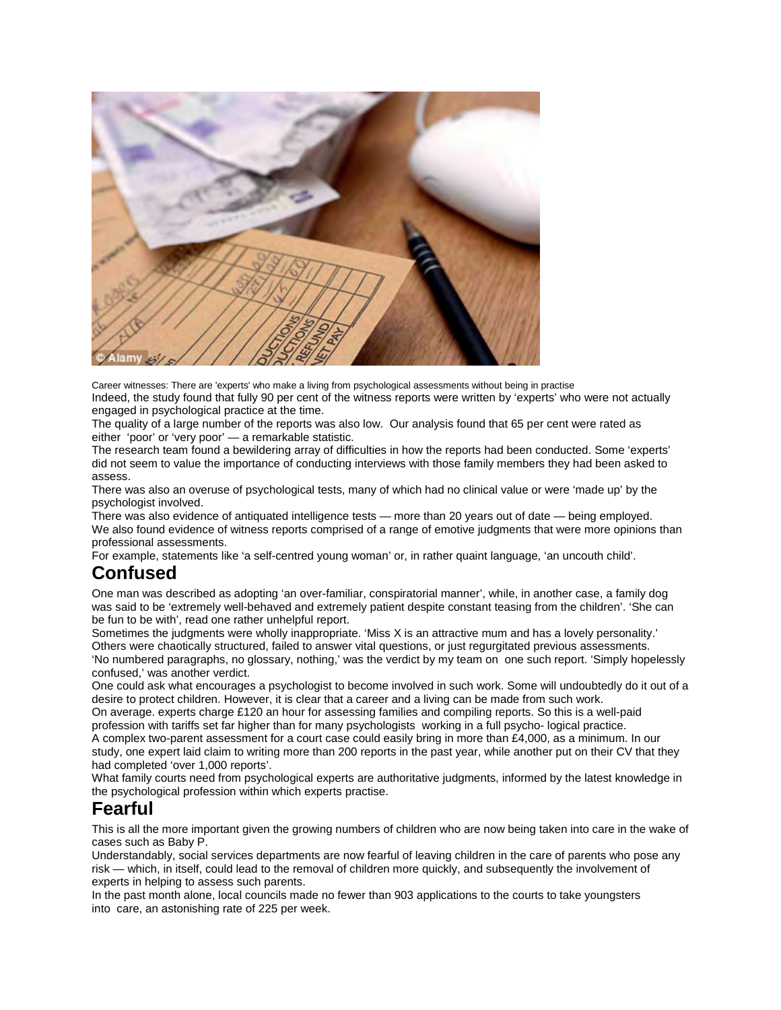

Career witnesses: There are 'experts' who make a living from psychological assessments without being in practise

Indeed, the study found that fully 90 per cent of the witness reports were written by 'experts' who were not actually engaged in psychological practice at the time.

The quality of a large number of the reports was also low. Our analysis found that 65 per cent were rated as either 'poor' or 'very poor' — a remarkable statistic.

The research team found a bewildering array of difficulties in how the reports had been conducted. Some 'experts' did not seem to value the importance of conducting interviews with those family members they had been asked to assess.

There was also an overuse of psychological tests, many of which had no clinical value or were 'made up' by the psychologist involved.

There was also evidence of antiquated intelligence tests — more than 20 years out of date — being employed. We also found evidence of witness reports comprised of a range of emotive judgments that were more opinions than professional assessments.

For example, statements like 'a self-centred young woman' or, in rather quaint language, 'an uncouth child'.

## **Confused**

One man was described as adopting 'an over-familiar, conspiratorial manner', while, in another case, a family dog was said to be 'extremely well-behaved and extremely patient despite constant teasing from the children'. 'She can be fun to be with', read one rather unhelpful report.

Sometimes the judgments were wholly inappropriate. 'Miss X is an attractive mum and has a lovely personality.' Others were chaotically structured, failed to answer vital questions, or just regurgitated previous assessments. 'No numbered paragraphs, no glossary, nothing,' was the verdict by my team on one such report. 'Simply hopelessly confused,' was another verdict.

One could ask what encourages a psychologist to become involved in such work. Some will undoubtedly do it out of a desire to protect children. However, it is clear that a career and a living can be made from such work.

On average. experts charge £120 an hour for assessing families and compiling reports. So this is a well-paid profession with tariffs set far higher than for many psychologists working in a full psycho- logical practice. A complex two-parent assessment for a court case could easily bring in more than £4,000, as a minimum. In our study, one expert laid claim to writing more than 200 reports in the past year, while another put on their CV that they

had completed 'over 1,000 reports'.

What family courts need from psychological experts are authoritative judgments, informed by the latest knowledge in the psychological profession within which experts practise.

# **Fearful**

This is all the more important given the growing numbers of children who are now being taken into care in the wake of cases such as Baby P.

Understandably, social services departments are now fearful of leaving children in the care of parents who pose any risk — which, in itself, could lead to the removal of children more quickly, and subsequently the involvement of experts in helping to assess such parents.

In the past month alone, local councils made no fewer than 903 applications to the courts to take youngsters into care, an astonishing rate of 225 per week.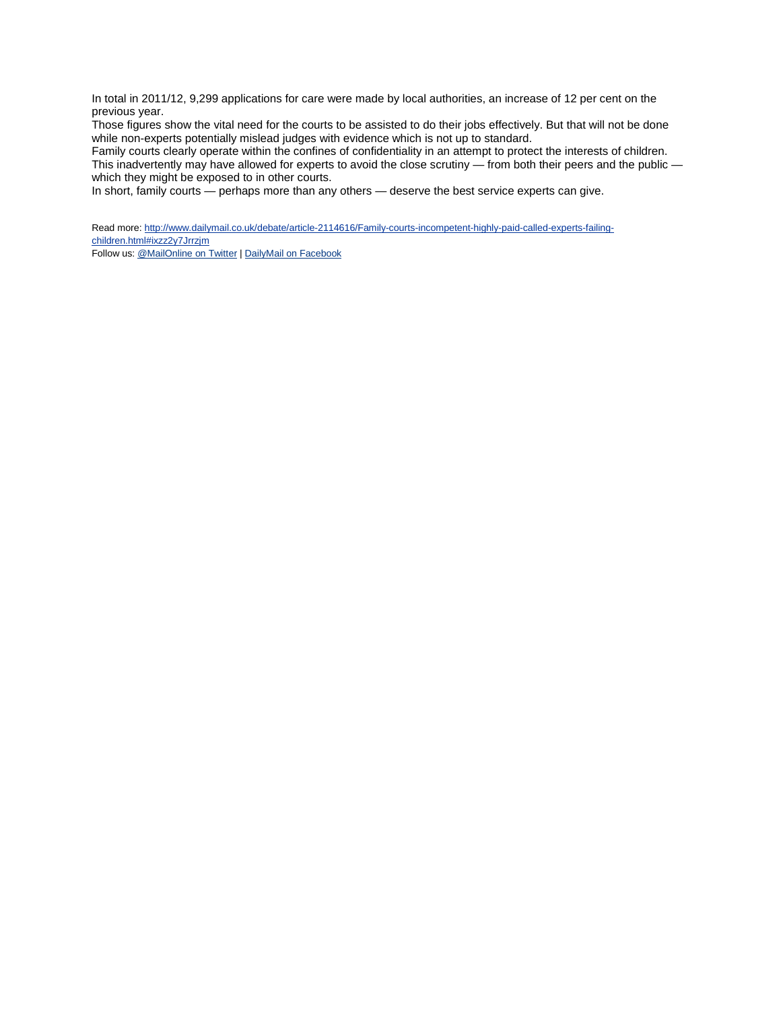In total in 2011/12, 9,299 applications for care were made by local authorities, an increase of 12 per cent on the previous year.

Those figures show the vital need for the courts to be assisted to do their jobs effectively. But that will not be done while non-experts potentially mislead judges with evidence which is not up to standard.

Family courts clearly operate within the confines of confidentiality in an attempt to protect the interests of children. This inadvertently may have allowed for experts to avoid the close scrutiny — from both their peers and the public which they might be exposed to in other courts.

In short, family courts — perhaps more than any others — deserve the best service experts can give.

Read more: [http://www.dailymail.co.uk/debate/article-2114616/Family-courts-incompetent-highly-paid-called-experts-failing](http://www.dailymail.co.uk/debate/article-2114616/Family-courts-incompetent-highly-paid-called-experts-failing-children.html#ixzz2y7Jrrzjm)[children.html#ixzz2y7Jrrzjm](http://www.dailymail.co.uk/debate/article-2114616/Family-courts-incompetent-highly-paid-called-experts-failing-children.html#ixzz2y7Jrrzjm)

Follow us: [@MailOnline on Twitter](http://ec.tynt.com/b/rw?id=bBOTTqvd0r3Pooab7jrHcU&u=MailOnline) | [DailyMail on Facebook](http://ec.tynt.com/b/rf?id=bBOTTqvd0r3Pooab7jrHcU&u=DailyMail)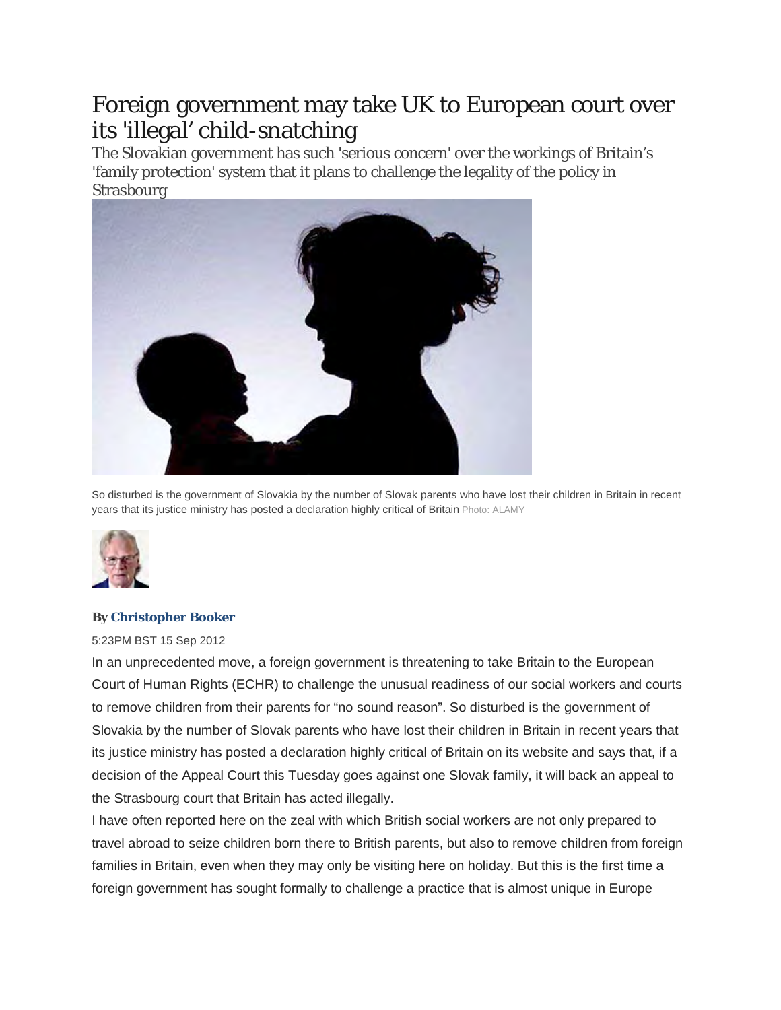# Foreign government may take UK to European court over its 'illegal' child-snatching

The Slovakian government has such 'serious concern' over the workings of Britain's 'family protection' system that it plans to challenge the legality of the policy in Strasbourg



So disturbed is the government of Slovakia by the number of Slovak parents who have lost their children in Britain in recent years that its justice ministry has posted a declaration highly critical of Britain Photo: ALAMY



#### **By [Christopher Booker](http://www.telegraph.co.uk/comment/columnists/christopherbooker/)**

#### 5:23PM BST 15 Sep 2012

In an unprecedented move, a foreign government is threatening to take Britain to the European Court of Human Rights (ECHR) to challenge the unusual readiness of our social workers and courts to remove children from their parents for "no sound reason". So disturbed is the government of Slovakia by the number of Slovak parents who have lost their children in Britain in recent years that its justice ministry has posted a declaration highly critical of Britain on its website and says that, if a decision of the Appeal Court this Tuesday goes against one Slovak family, it will back an appeal to the Strasbourg court that Britain has acted illegally.

I have often reported here on the zeal with which British social workers are not only prepared to travel abroad to seize children born there to British parents, but also to remove children from foreign families in Britain, even when they may only be visiting here on holiday. But this is the first time a foreign government has sought formally to challenge a practice that is almost unique in Europe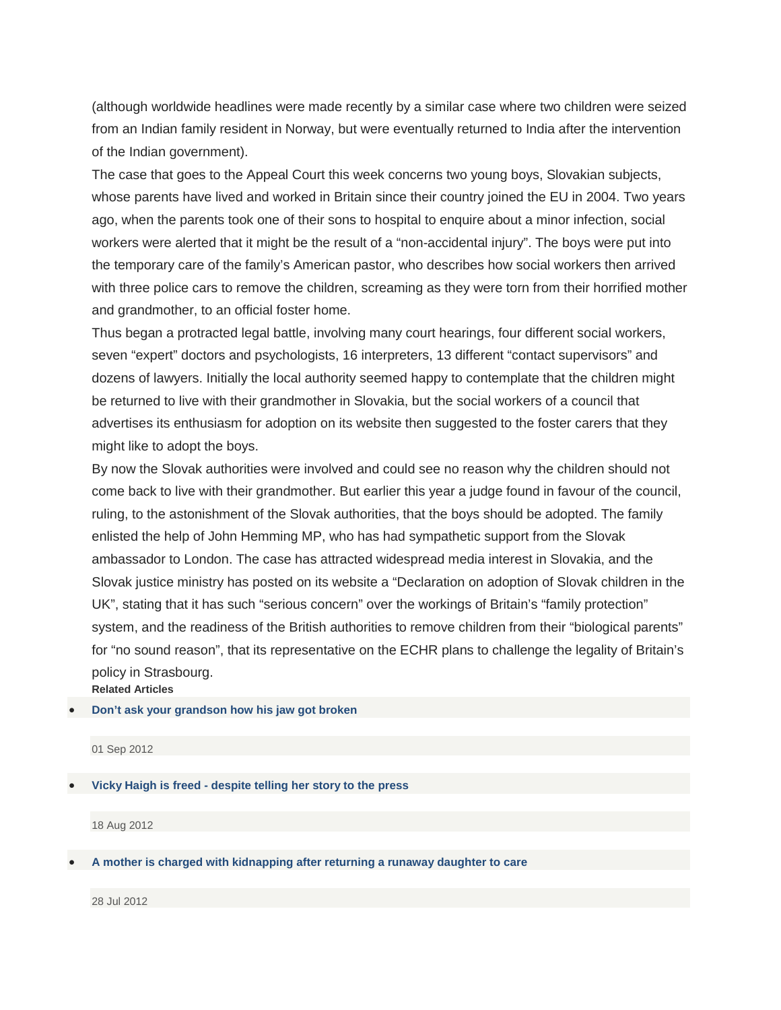(although worldwide headlines were made recently by a similar case where two children were seized from an Indian family resident in Norway, but were eventually returned to India after the intervention of the Indian government).

The case that goes to the Appeal Court this week concerns two young boys, Slovakian subjects, whose parents have lived and worked in Britain since their country joined the EU in 2004. Two years ago, when the parents took one of their sons to hospital to enquire about a minor infection, social workers were alerted that it might be the result of a "non-accidental injury". The boys were put into the temporary care of the family's American pastor, who describes how social workers then arrived with three police cars to remove the children, screaming as they were torn from their horrified mother and grandmother, to an official foster home.

Thus began a protracted legal battle, involving many court hearings, four different social workers, seven "expert" doctors and psychologists, 16 interpreters, 13 different "contact supervisors" and dozens of lawyers. Initially the local authority seemed happy to contemplate that the children might be returned to live with their grandmother in Slovakia, but the social workers of a council that advertises its enthusiasm for adoption on its website then suggested to the foster carers that they might like to adopt the boys.

By now the Slovak authorities were involved and could see no reason why the children should not come back to live with their grandmother. But earlier this year a judge found in favour of the council, ruling, to the astonishment of the Slovak authorities, that the boys should be adopted. The family enlisted the help of John Hemming MP, who has had sympathetic support from the Slovak ambassador to London. The case has attracted widespread media interest in Slovakia, and the Slovak justice ministry has posted on its website a "Declaration on adoption of Slovak children in the UK", stating that it has such "serious concern" over the workings of Britain's "family protection" system, and the readiness of the British authorities to remove children from their "biological parents" for "no sound reason", that its representative on the ECHR plans to challenge the legality of Britain's policy in Strasbourg. **Related Articles**

#### • **[Don't ask your grandson how his jaw got broken](http://www.telegraph.co.uk/comment/9513678/Dont-ask-your-grandson-how-his-jaw-got-broken-say-social-workers.html)**

#### 01 Sep 2012

• **[Vicky Haigh is freed - despite telling her story to the press](http://www.telegraph.co.uk/comment/9484285/Vicky-Haigh-is-freed-despite-telling-her-story-to-the-press.html)**

18 Aug 2012

• **[A mother is charged with kidnapping after returning a runaway daughter to care](http://www.telegraph.co.uk/comment/columnists/christopherbooker/9434116/A-mother-is-charged-with-kidnapping-after-returning-a-runaway-daughter-to-care.html)**

28 Jul 2012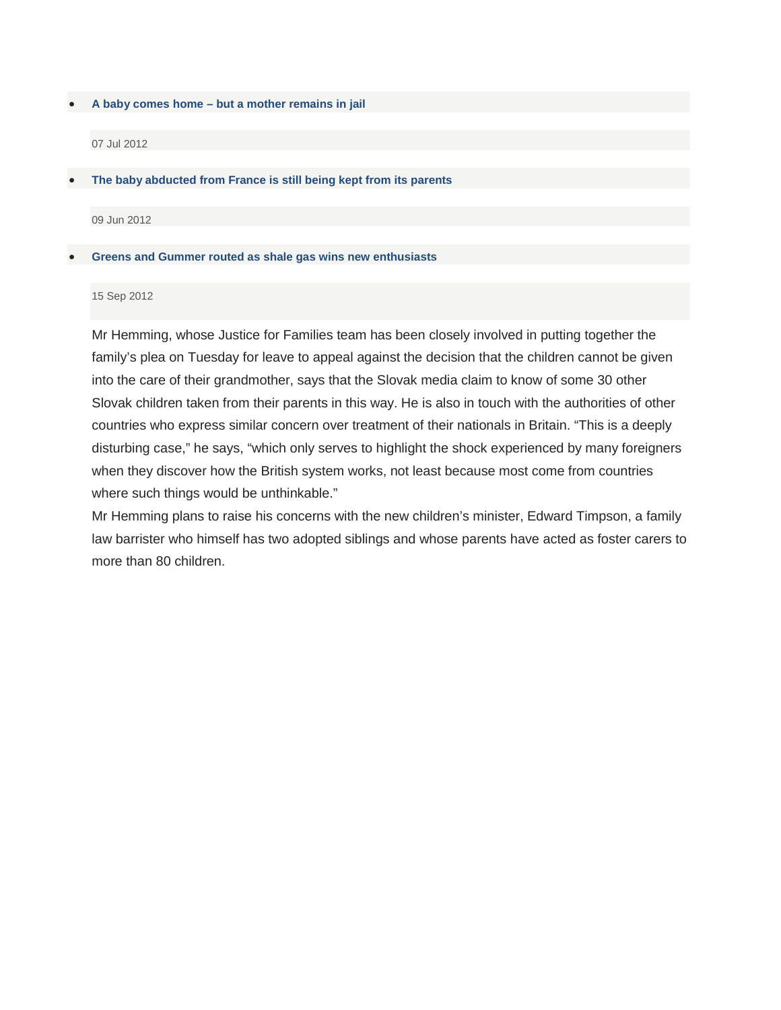• **[A baby comes home – but a mother remains in jail](http://www.telegraph.co.uk/comment/9383388/A-baby-comes-home-but-a-mother-remains-in-jail.html)**

#### 07 Jul 2012

• **[The baby abducted from France is still being kept from its parents](http://www.telegraph.co.uk/comment/9320905/The-baby-abducted-from-France-is-still-being-kept-from-its-parents.html)**

09 Jun 2012

#### • **[Greens and Gummer routed as shale gas wins new enthusiasts](http://www.telegraph.co.uk/comment/9544677/Greens-and-Gummer-routed-as-shale-gas-wins-new-enthusiasts.html)**

#### 15 Sep 2012

Mr Hemming, whose Justice for Families team has been closely involved in putting together the family's plea on Tuesday for leave to appeal against the decision that the children cannot be given into the care of their grandmother, says that the Slovak media claim to know of some 30 other Slovak children taken from their parents in this way. He is also in touch with the authorities of other countries who express similar concern over treatment of their nationals in Britain. "This is a deeply disturbing case," he says, "which only serves to highlight the shock experienced by many foreigners when they discover how the British system works, not least because most come from countries where such things would be unthinkable."

Mr Hemming plans to raise his concerns with the new children's minister, Edward Timpson, a family law barrister who himself has two adopted siblings and whose parents have acted as foster carers to more than 80 children.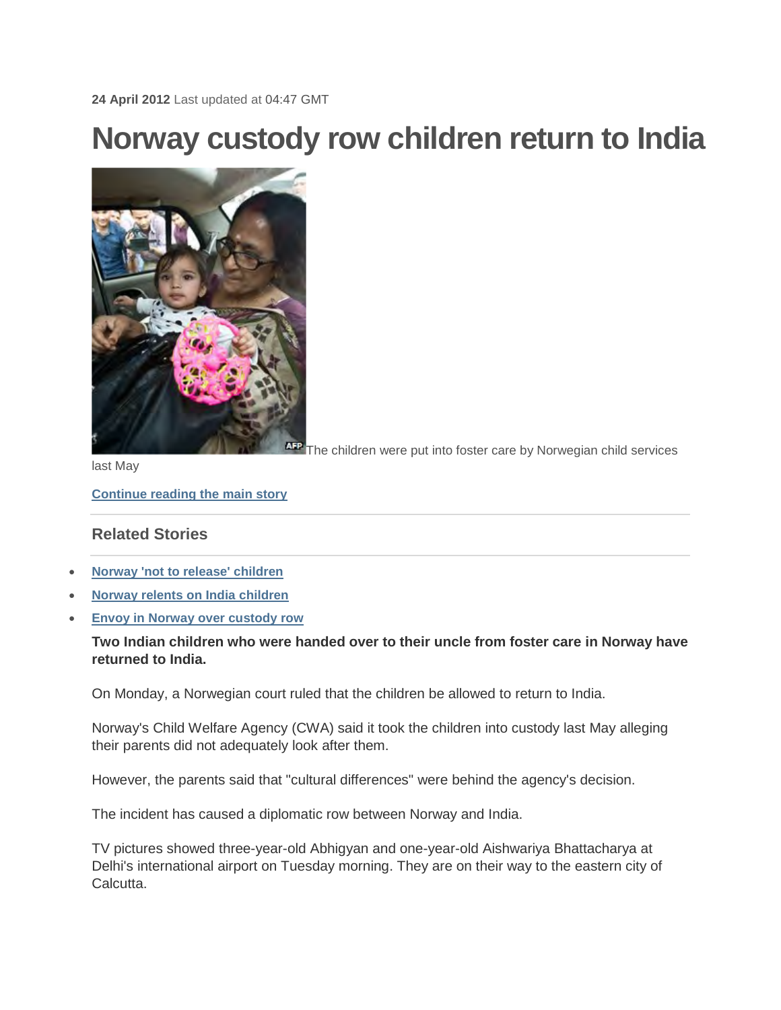# **Norway custody row children return to India**



**AFP** The children were put into foster care by Norwegian child services

last May

**[Continue reading the main story](http://www.bbc.com/news/world-asia-india-17821841#story_continues_1)**

## **Related Stories**

- **[Norway 'not to release' children](http://www.bbc.com/news/world-asia-india-17471017)**
- **[Norway relents on India children](http://www.bbc.com/news/world-asia-india-17192129)**
- **[Envoy in Norway over custody row](http://www.bbc.com/news/world-asia-india-17175823)**

### **Two Indian children who were handed over to their uncle from foster care in Norway have returned to India.**

On Monday, a Norwegian court ruled that the children be allowed to return to India.

Norway's Child Welfare Agency (CWA) said it took the children into custody last May alleging their parents did not adequately look after them.

However, the parents said that "cultural differences" were behind the agency's decision.

The incident has caused a diplomatic row between Norway and India.

TV pictures showed three-year-old Abhigyan and one-year-old Aishwariya Bhattacharya at Delhi's international airport on Tuesday morning. They are on their way to the eastern city of Calcutta.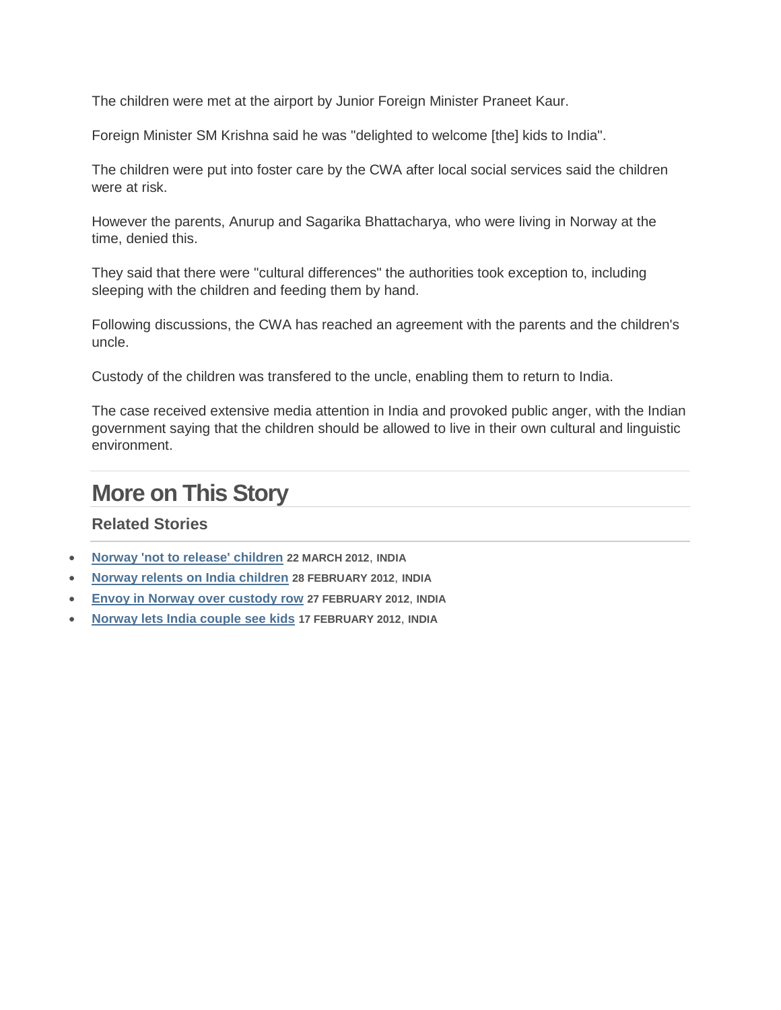The children were met at the airport by Junior Foreign Minister Praneet Kaur.

Foreign Minister SM Krishna said he was "delighted to welcome [the] kids to India".

The children were put into foster care by the CWA after local social services said the children were at risk.

However the parents, Anurup and Sagarika Bhattacharya, who were living in Norway at the time, denied this.

They said that there were "cultural differences" the authorities took exception to, including sleeping with the children and feeding them by hand.

Following discussions, the CWA has reached an agreement with the parents and the children's uncle.

Custody of the children was transfered to the uncle, enabling them to return to India.

The case received extensive media attention in India and provoked public anger, with the Indian government saying that the children should be allowed to live in their own cultural and linguistic environment.

# **More on This Story**

## **Related Stories**

- **[Norway 'not to release' children](http://www.bbc.com/news/world-asia-india-17471017) 22 MARCH 2012**, **INDIA**
- **[Norway relents on India children](http://www.bbc.com/news/world-asia-india-17192129) 28 FEBRUARY 2012**, **INDIA**
- **[Envoy in Norway over custody row](http://www.bbc.com/news/world-asia-india-17175823) 27 FEBRUARY 2012**, **INDIA**
- **[Norway lets India couple see kids](http://www.bbc.com/news/world-asia-india-17076757) 17 FEBRUARY 2012**, **INDIA**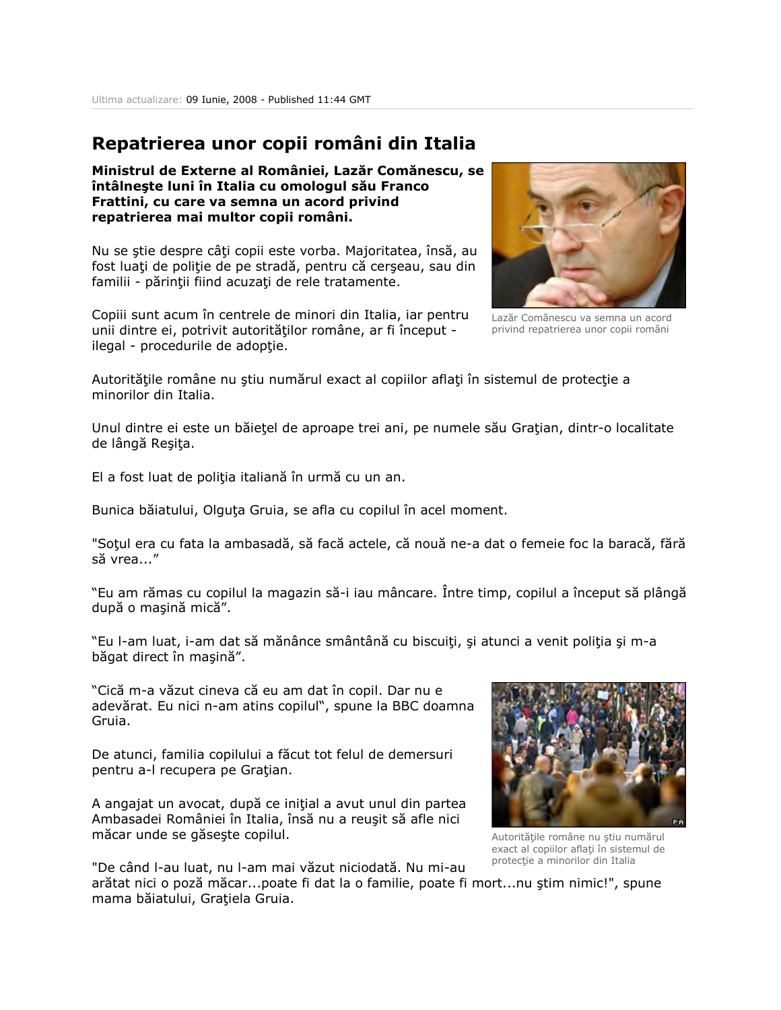# **Repatrierea unor copii români din Italia**

**Ministrul de Externe al României, Lazăr Comănescu, se întâlneşte luni în Italia cu omologul său Franco Frattini, cu care va semna un acord privind repatrierea mai multor copii români.**

Nu se ştie despre câţi copii este vorba. Majoritatea, însă, au fost luaţi de poliţie de pe stradă, pentru că cerşeau, sau din familii - părinții fiind acuzați de rele tratamente.

Copiii sunt acum în centrele de minori din Italia, iar pentru unii dintre ei, potrivit autorităţilor române, ar fi început ilegal - procedurile de adoptie.



Lazăr Comănescu va semna un acord privind repatrierea unor copii români

Autorităţile române nu ştiu numărul exact al copiilor aflaţi în sistemul de protecţie a minorilor din Italia.

Unul dintre ei este un băieţel de aproape trei ani, pe numele său Graţian, dintr-o localitate de lângă Reşiţa.

El a fost luat de poliţia italiană în urmă cu un an.

Bunica băiatului, Olguta Gruia, se afla cu copilul în acel moment.

"Sotul era cu fata la ambasadă, să facă actele, că nouă ne-a dat o femeie foc la baracă, fără să vrea..."

"Eu am rămas cu copilul la magazin să-i iau mâncare. Între timp, copilul a început să plângă după o maşină mică".

"Eu l-am luat, i-am dat să mănânce smântână cu biscuiţi, şi atunci a venit poliţia şi m-a băgat direct în maşină".

"Cică m-a văzut cineva că eu am dat în copil. Dar nu e adevărat. Eu nici n-am atins copilul", spune la BBC doamna Gruia.

De atunci, familia copilului a făcut tot felul de demersuri pentru a-l recupera pe Graţian.

A angajat un avocat, după ce iniţial a avut unul din partea Ambasadei României în Italia, însă nu a reuşit să afle nici măcar unde se găseşte copilul.

"De când l-au luat, nu l-am mai văzut niciodată. Nu mi-au

arătat nici o poză măcar...poate fi dat la o familie, poate fi mort...nu ştim nimic!", spune mama băiatului, Grațiela Gruia.



Autorităţile române nu ştiu numărul exact al copiilor aflați în sistemul de protecție a minorilor din Italia